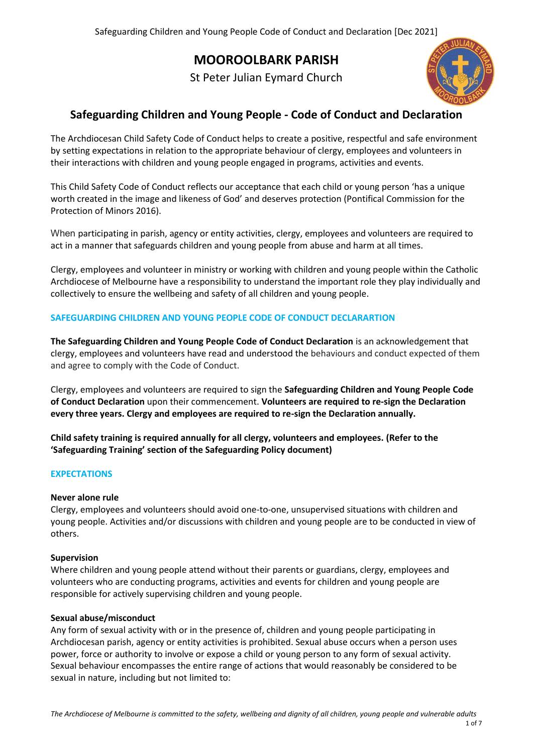# **MOOROOLBARK PARISH**

St Peter Julian Eymard Church



# **Safeguarding Children and Young People - Code of Conduct and Declaration**

The Archdiocesan Child Safety Code of Conduct helps to create a positive, respectful and safe environment by setting expectations in relation to the appropriate behaviour of clergy, employees and volunteers in their interactions with children and young people engaged in programs, activities and events.

This Child Safety Code of Conduct reflects our acceptance that each child or young person 'has a unique worth created in the image and likeness of God' and deserves protection (Pontifical Commission for the Protection of Minors 2016).

When participating in parish, agency or entity activities, clergy, employees and volunteers are required to act in a manner that safeguards children and young people from abuse and harm at all times.

Clergy, employees and volunteer in ministry or working with children and young people within the Catholic Archdiocese of Melbourne have a responsibility to understand the important role they play individually and collectively to ensure the wellbeing and safety of all children and young people.

# **SAFEGUARDING CHILDREN AND YOUNG PEOPLE CODE OF CONDUCT DECLARARTION**

**The Safeguarding Children and Young People Code of Conduct Declaration** is an acknowledgement that clergy, employees and volunteers have read and understood the behaviours and conduct expected of them and agree to comply with the Code of Conduct.

Clergy, employees and volunteers are required to sign the **Safeguarding Children and Young People Code of Conduct Declaration** upon their commencement. **Volunteers are required to re-sign the Declaration every three years. Clergy and employees are required to re-sign the Declaration annually.** 

**Child safety training is required annually for all clergy, volunteers and employees. (Refer to the 'Safeguarding Training' section of the Safeguarding Policy document)**

#### **EXPECTATIONS**

#### **Never alone rule**

Clergy, employees and volunteers should avoid one-to-one, unsupervised situations with children and young people. Activities and/or discussions with children and young people are to be conducted in view of others.

#### **Supervision**

Where children and young people attend without their parents or guardians, clergy, employees and volunteers who are conducting programs, activities and events for children and young people are responsible for actively supervising children and young people.

#### **Sexual abuse/misconduct**

Any form of sexual activity with or in the presence of, children and young people participating in Archdiocesan parish, agency or entity activities is prohibited. Sexual abuse occurs when a person uses power, force or authority to involve or expose a child or young person to any form of sexual activity. Sexual behaviour encompasses the entire range of actions that would reasonably be considered to be sexual in nature, including but not limited to: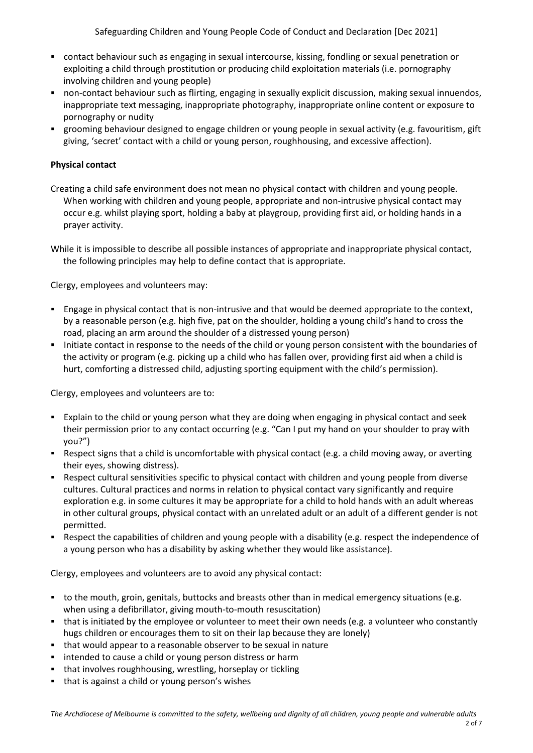- contact behaviour such as engaging in sexual intercourse, kissing, fondling or sexual penetration or exploiting a child through prostitution or producing child exploitation materials (i.e. pornography involving children and young people)
- non-contact behaviour such as flirting, engaging in sexually explicit discussion, making sexual innuendos, inappropriate text messaging, inappropriate photography, inappropriate online content or exposure to pornography or nudity
- grooming behaviour designed to engage children or young people in sexual activity (e.g. favouritism, gift giving, 'secret' contact with a child or young person, roughhousing, and excessive affection).

# **Physical contact**

Creating a child safe environment does not mean no physical contact with children and young people. When working with children and young people, appropriate and non-intrusive physical contact may occur e.g. whilst playing sport, holding a baby at playgroup, providing first aid, or holding hands in a prayer activity.

While it is impossible to describe all possible instances of appropriate and inappropriate physical contact, the following principles may help to define contact that is appropriate.

Clergy, employees and volunteers may:

- Engage in physical contact that is non-intrusive and that would be deemed appropriate to the context, by a reasonable person (e.g. high five, pat on the shoulder, holding a young child's hand to cross the road, placing an arm around the shoulder of a distressed young person)
- Initiate contact in response to the needs of the child or young person consistent with the boundaries of the activity or program (e.g. picking up a child who has fallen over, providing first aid when a child is hurt, comforting a distressed child, adjusting sporting equipment with the child's permission).

Clergy, employees and volunteers are to:

- Explain to the child or young person what they are doing when engaging in physical contact and seek their permission prior to any contact occurring (e.g. "Can I put my hand on your shoulder to pray with you?")
- Respect signs that a child is uncomfortable with physical contact (e.g. a child moving away, or averting their eyes, showing distress).
- Respect cultural sensitivities specific to physical contact with children and young people from diverse cultures. Cultural practices and norms in relation to physical contact vary significantly and require exploration e.g. in some cultures it may be appropriate for a child to hold hands with an adult whereas in other cultural groups, physical contact with an unrelated adult or an adult of a different gender is not permitted.
- Respect the capabilities of children and young people with a disability (e.g. respect the independence of a young person who has a disability by asking whether they would like assistance).

Clergy, employees and volunteers are to avoid any physical contact:

- to the mouth, groin, genitals, buttocks and breasts other than in medical emergency situations (e.g. when using a defibrillator, giving mouth-to-mouth resuscitation)
- that is initiated by the employee or volunteer to meet their own needs (e.g. a volunteer who constantly hugs children or encourages them to sit on their lap because they are lonely)
- that would appear to a reasonable observer to be sexual in nature
- **EXECT** intended to cause a child or young person distress or harm
- that involves roughhousing, wrestling, horseplay or tickling
- that is against a child or young person's wishes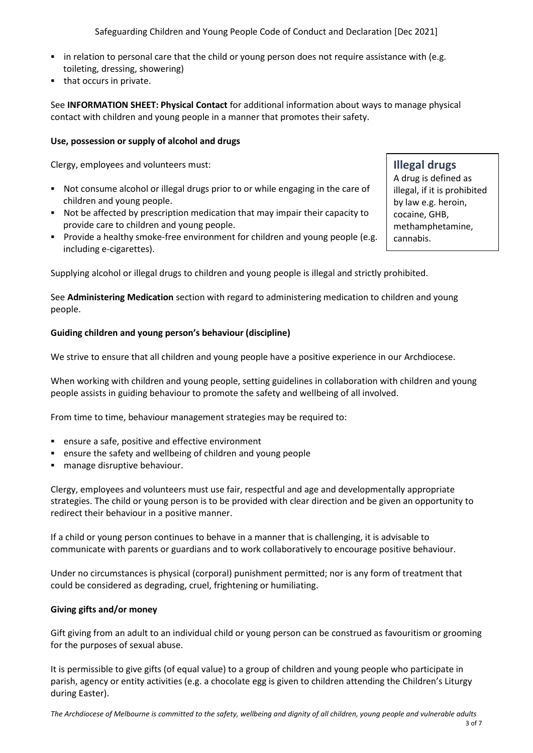Safeguarding Children and Young People Code of Conduct and Declaration [Dec 2021]

- in relation to personal care that the child or young person does not require assistance with (e.g. toileting, dressing, showering)
- that occurs in private.

See **INFORMATION SHEET: Physical Contact** for additional information about ways to manage physical contact with children and young people in a manner that promotes their safety.

#### **Use, possession or supply of alcohol and drugs**

Clergy, employees and volunteers must:

- Not consume alcohol or illegal drugs prior to or while engaging in the care of children and young people.
- Not be affected by prescription medication that may impair their capacity to provide care to children and young people.
- **Provide a healthy smoke-free environment for children and young people (e.g.**) including e-cigarettes).

Supplying alcohol or illegal drugs to children and young people is illegal and strictly prohibited.

See **Administering Medication** section with regard to administering medication to children and young people.

# **Guiding children and young person's behaviour (discipline)**

We strive to ensure that all children and young people have a positive experience in our Archdiocese.

When working with children and young people, setting guidelines in collaboration with children and young people assists in guiding behaviour to promote the safety and wellbeing of all involved.

From time to time, behaviour management strategies may be required to:

- ensure a safe, positive and effective environment
- ensure the safety and wellbeing of children and young people
- manage disruptive behaviour.

Clergy, employees and volunteers must use fair, respectful and age and developmentally appropriate strategies. The child or young person is to be provided with clear direction and be given an opportunity to redirect their behaviour in a positive manner.

If a child or young person continues to behave in a manner that is challenging, it is advisable to communicate with parents or guardians and to work collaboratively to encourage positive behaviour.

Under no circumstances is physical (corporal) punishment permitted; nor is any form of treatment that could be considered as degrading, cruel, frightening or humiliating.

#### **Giving gifts and/or money**

Gift giving from an adult to an individual child or young person can be construed as favouritism or grooming for the purposes of sexual abuse.

It is permissible to give gifts (of equal value) to a group of children and young people who participate in parish, agency or entity activities (e.g. a chocolate egg is given to children attending the Children's Liturgy during Easter).

*The Archdiocese of Melbourne is committed to the safety, wellbeing and dignity of all children, young people and vulnerable adults*

A drug is defined as illegal, if it is prohibited by law e.g. heroin, cocaine, GHB, methamphetamine, cannabis.

**Illegal drugs**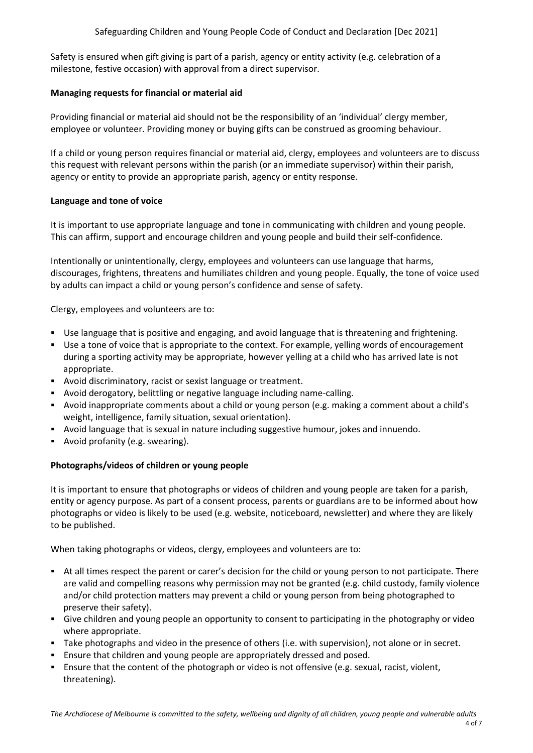Safety is ensured when gift giving is part of a parish, agency or entity activity (e.g. celebration of a milestone, festive occasion) with approval from a direct supervisor.

# **Managing requests for financial or material aid**

Providing financial or material aid should not be the responsibility of an 'individual' clergy member, employee or volunteer. Providing money or buying gifts can be construed as grooming behaviour.

If a child or young person requires financial or material aid, clergy, employees and volunteers are to discuss this request with relevant persons within the parish (or an immediate supervisor) within their parish, agency or entity to provide an appropriate parish, agency or entity response.

# **Language and tone of voice**

It is important to use appropriate language and tone in communicating with children and young people. This can affirm, support and encourage children and young people and build their self-confidence.

Intentionally or unintentionally, clergy, employees and volunteers can use language that harms, discourages, frightens, threatens and humiliates children and young people. Equally, the tone of voice used by adults can impact a child or young person's confidence and sense of safety.

Clergy, employees and volunteers are to:

- Use language that is positive and engaging, and avoid language that is threatening and frightening.
- Use a tone of voice that is appropriate to the context. For example, yelling words of encouragement during a sporting activity may be appropriate, however yelling at a child who has arrived late is not appropriate.
- Avoid discriminatory, racist or sexist language or treatment.
- Avoid derogatory, belittling or negative language including name-calling.
- Avoid inappropriate comments about a child or young person (e.g. making a comment about a child's weight, intelligence, family situation, sexual orientation).
- Avoid language that is sexual in nature including suggestive humour, jokes and innuendo.
- Avoid profanity (e.g. swearing).

#### **Photographs/videos of children or young people**

It is important to ensure that photographs or videos of children and young people are taken for a parish, entity or agency purpose. As part of a consent process, parents or guardians are to be informed about how photographs or video is likely to be used (e.g. website, noticeboard, newsletter) and where they are likely to be published.

When taking photographs or videos, clergy, employees and volunteers are to:

- At all times respect the parent or carer's decision for the child or young person to not participate. There are valid and compelling reasons why permission may not be granted (e.g. child custody, family violence and/or child protection matters may prevent a child or young person from being photographed to preserve their safety).
- Give children and young people an opportunity to consent to participating in the photography or video where appropriate.
- Take photographs and video in the presence of others (i.e. with supervision), not alone or in secret.
- Ensure that children and young people are appropriately dressed and posed.
- Ensure that the content of the photograph or video is not offensive (e.g. sexual, racist, violent, threatening).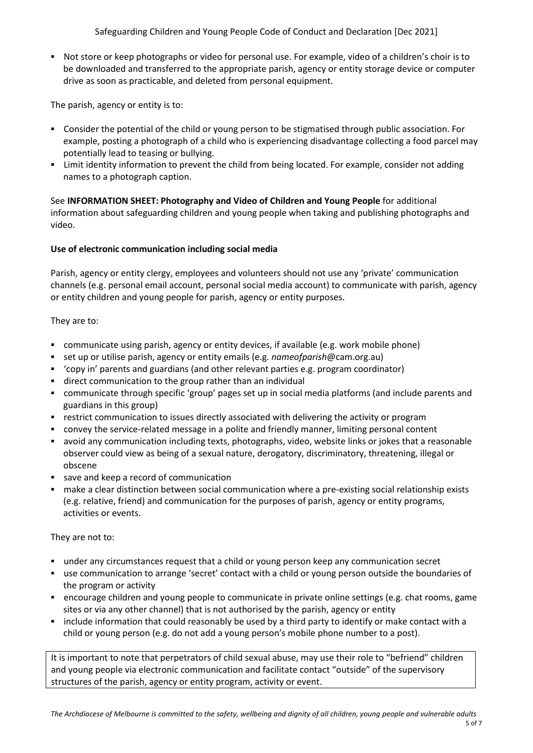Safeguarding Children and Young People Code of Conduct and Declaration [Dec 2021]

 Not store or keep photographs or video for personal use. For example, video of a children's choir is to be downloaded and transferred to the appropriate parish, agency or entity storage device or computer drive as soon as practicable, and deleted from personal equipment.

The parish, agency or entity is to:

- Consider the potential of the child or young person to be stigmatised through public association. For example, posting a photograph of a child who is experiencing disadvantage collecting a food parcel may potentially lead to teasing or bullying.
- Limit identity information to prevent the child from being located. For example, consider not adding names to a photograph caption.

See **INFORMATION SHEET: Photography and Video of Children and Young People** for additional information about safeguarding children and young people when taking and publishing photographs and video.

# **Use of electronic communication including social media**

Parish, agency or entity clergy, employees and volunteers should not use any 'private' communication channels (e.g. personal email account, personal social media account) to communicate with parish, agency or entity children and young people for parish, agency or entity purposes.

They are to:

- communicate using parish, agency or entity devices, if available (e.g. work mobile phone)
- set up or utilise parish, agency or entity emails (e.g. *nameofparish*@cam.org.au)
- 'copy in' parents and guardians (and other relevant parties e.g. program coordinator)
- direct communication to the group rather than an individual
- communicate through specific 'group' pages set up in social media platforms (and include parents and guardians in this group)
- **•** restrict communication to issues directly associated with delivering the activity or program
- convey the service-related message in a polite and friendly manner, limiting personal content
- avoid any communication including texts, photographs, video, website links or jokes that a reasonable observer could view as being of a sexual nature, derogatory, discriminatory, threatening, illegal or obscene
- save and keep a record of communication
- make a clear distinction between social communication where a pre-existing social relationship exists (e.g. relative, friend) and communication for the purposes of parish, agency or entity programs, activities or events.

They are not to:

- under any circumstances request that a child or young person keep any communication secret
- use communication to arrange 'secret' contact with a child or young person outside the boundaries of the program or activity
- encourage children and young people to communicate in private online settings (e.g. chat rooms, game sites or via any other channel) that is not authorised by the parish, agency or entity
- include information that could reasonably be used by a third party to identify or make contact with a child or young person (e.g. do not add a young person's mobile phone number to a post).

It is important to note that perpetrators of child sexual abuse, may use their role to "befriend" children and young people via electronic communication and facilitate contact "outside" of the supervisory structures of the parish, agency or entity program, activity or event.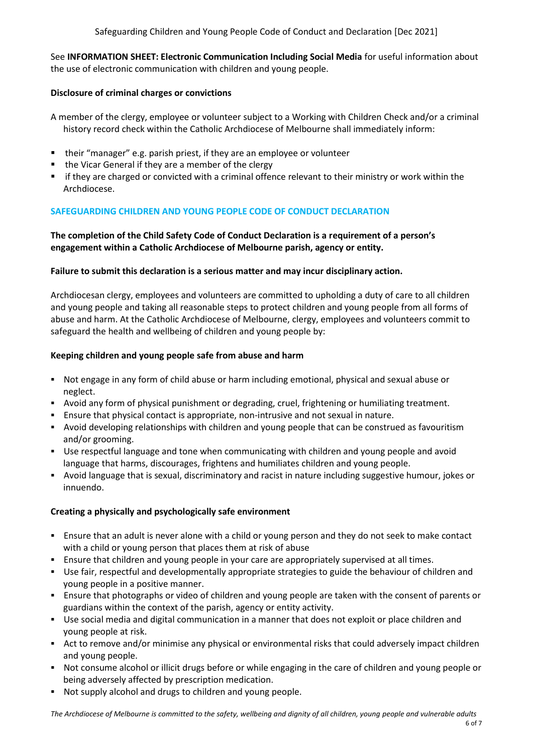See **INFORMATION SHEET: Electronic Communication Including Social Media** for useful information about the use of electronic communication with children and young people.

# **Disclosure of criminal charges or convictions**

A member of the clergy, employee or volunteer subject to a Working with Children Check and/or a criminal history record check within the Catholic Archdiocese of Melbourne shall immediately inform:

- their "manager" e.g. parish priest, if they are an employee or volunteer
- $\blacksquare$  the Vicar General if they are a member of the clergy
- if they are charged or convicted with a criminal offence relevant to their ministry or work within the Archdiocese.

# **SAFEGUARDING CHILDREN AND YOUNG PEOPLE CODE OF CONDUCT DECLARATION**

# **The completion of the Child Safety Code of Conduct Declaration is a requirement of a person's engagement within a Catholic Archdiocese of Melbourne parish, agency or entity.**

#### **Failure to submit this declaration is a serious matter and may incur disciplinary action.**

Archdiocesan clergy, employees and volunteers are committed to upholding a duty of care to all children and young people and taking all reasonable steps to protect children and young people from all forms of abuse and harm. At the Catholic Archdiocese of Melbourne, clergy, employees and volunteers commit to safeguard the health and wellbeing of children and young people by:

# **Keeping children and young people safe from abuse and harm**

- Not engage in any form of child abuse or harm including emotional, physical and sexual abuse or neglect.
- Avoid any form of physical punishment or degrading, cruel, frightening or humiliating treatment.
- Ensure that physical contact is appropriate, non-intrusive and not sexual in nature.
- Avoid developing relationships with children and young people that can be construed as favouritism and/or grooming.
- Use respectful language and tone when communicating with children and young people and avoid language that harms, discourages, frightens and humiliates children and young people.
- Avoid language that is sexual, discriminatory and racist in nature including suggestive humour, jokes or innuendo.

#### **Creating a physically and psychologically safe environment**

- Ensure that an adult is never alone with a child or young person and they do not seek to make contact with a child or young person that places them at risk of abuse
- Ensure that children and young people in your care are appropriately supervised at all times.
- Use fair, respectful and developmentally appropriate strategies to guide the behaviour of children and young people in a positive manner.
- Ensure that photographs or video of children and young people are taken with the consent of parents or guardians within the context of the parish, agency or entity activity.
- Use social media and digital communication in a manner that does not exploit or place children and young people at risk.
- Act to remove and/or minimise any physical or environmental risks that could adversely impact children and young people.
- Not consume alcohol or illicit drugs before or while engaging in the care of children and young people or being adversely affected by prescription medication.
- Not supply alcohol and drugs to children and young people.

*The Archdiocese of Melbourne is committed to the safety, wellbeing and dignity of all children, young people and vulnerable adults*